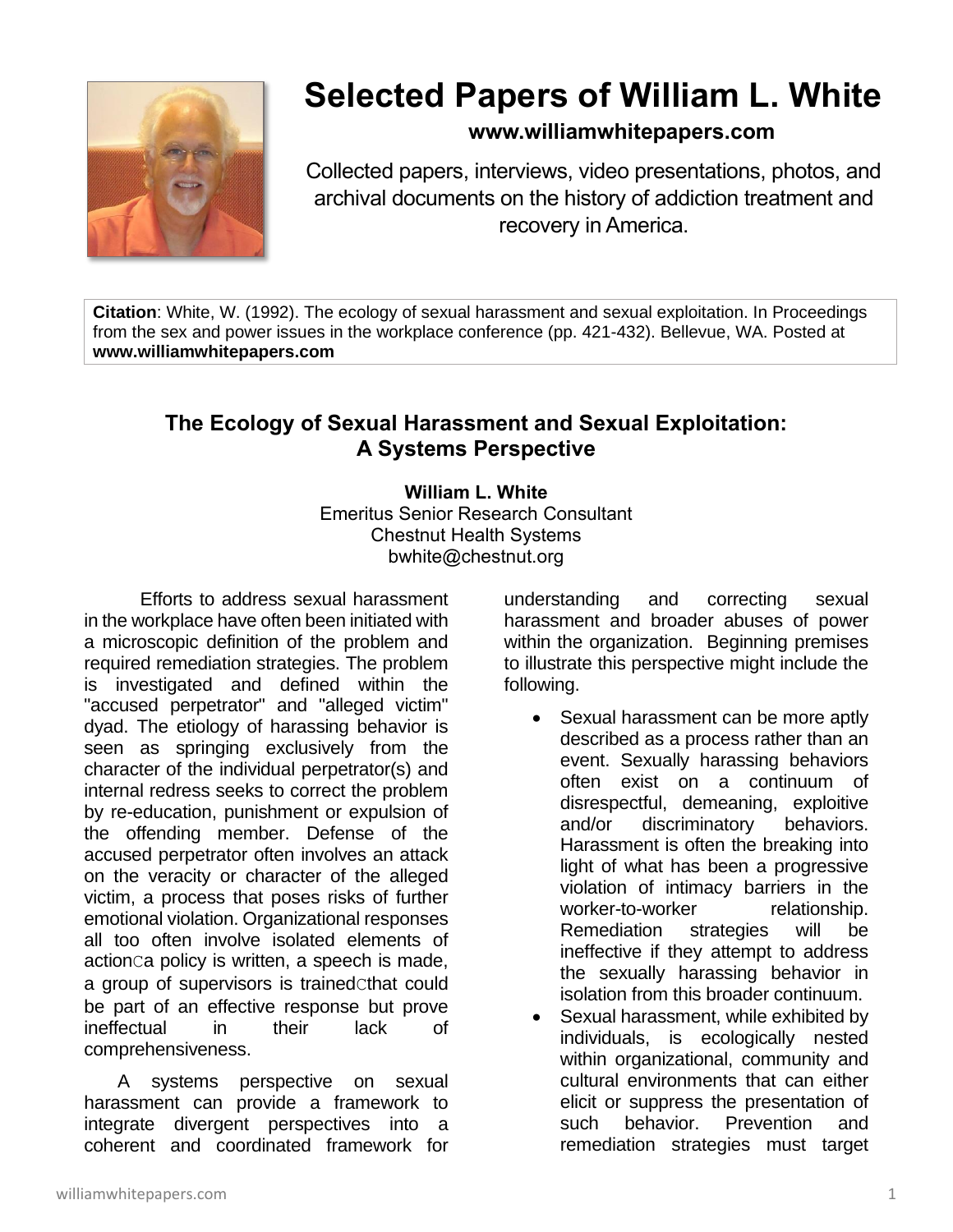

# **Selected Papers of William L. White**

### **www.williamwhitepapers.com**

Collected papers, interviews, video presentations, photos, and archival documents on the history of addiction treatment and recovery in America.

**Citation**: White, W. (1992). The ecology of sexual harassment and sexual exploitation. In Proceedings from the sex and power issues in the workplace conference (pp. 421-432). Bellevue, WA. Posted at **www.williamwhitepapers.com**

## **The Ecology of Sexual Harassment and Sexual Exploitation: A Systems Perspective**

#### **William L. White** Emeritus Senior Research Consultant Chestnut Health Systems bwhite@chestnut.org

Efforts to address sexual harassment in the workplace have often been initiated with a microscopic definition of the problem and required remediation strategies. The problem is investigated and defined within the "accused perpetrator" and "alleged victim" dyad. The etiology of harassing behavior is seen as springing exclusively from the character of the individual perpetrator(s) and internal redress seeks to correct the problem by re-education, punishment or expulsion of the offending member. Defense of the accused perpetrator often involves an attack on the veracity or character of the alleged victim, a process that poses risks of further emotional violation. Organizational responses all too often involve isolated elements of actionCa policy is written, a speech is made, a group of supervisors is trained cthat could be part of an effective response but prove ineffectual in their lack of comprehensiveness.

A systems perspective on sexual harassment can provide a framework to integrate divergent perspectives into a coherent and coordinated framework for

understanding and correcting sexual harassment and broader abuses of power within the organization. Beginning premises to illustrate this perspective might include the following.

- Sexual harassment can be more aptly described as a process rather than an event. Sexually harassing behaviors often exist on a continuum of disrespectful, demeaning, exploitive and/or discriminatory behaviors. Harassment is often the breaking into light of what has been a progressive violation of intimacy barriers in the worker-to-worker relationship. Remediation strategies will be ineffective if they attempt to address the sexually harassing behavior in isolation from this broader continuum.
- Sexual harassment, while exhibited by individuals, is ecologically nested within organizational, community and cultural environments that can either elicit or suppress the presentation of such behavior. Prevention and remediation strategies must target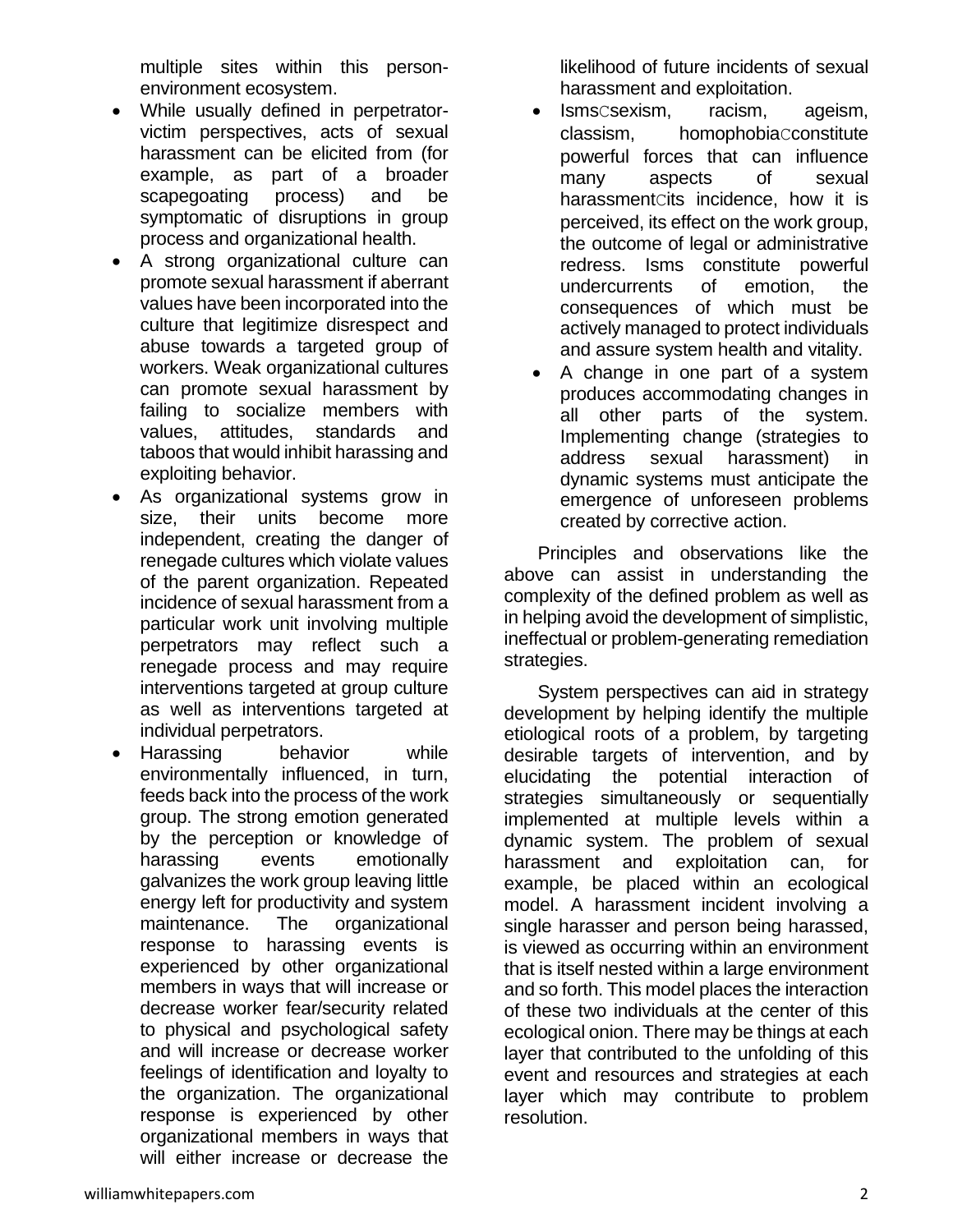multiple sites within this personenvironment ecosystem.

- While usually defined in perpetratorvictim perspectives, acts of sexual harassment can be elicited from (for example, as part of a broader scapegoating process) and be symptomatic of disruptions in group process and organizational health.
- A strong organizational culture can promote sexual harassment if aberrant values have been incorporated into the culture that legitimize disrespect and abuse towards a targeted group of workers. Weak organizational cultures can promote sexual harassment by failing to socialize members with values, attitudes, standards and taboos that would inhibit harassing and exploiting behavior.
- As organizational systems grow in size, their units become more independent, creating the danger of renegade cultures which violate values of the parent organization. Repeated incidence of sexual harassment from a particular work unit involving multiple perpetrators may reflect such a renegade process and may require interventions targeted at group culture as well as interventions targeted at individual perpetrators.
- Harassing behavior while environmentally influenced, in turn, feeds back into the process of the work group. The strong emotion generated by the perception or knowledge of harassing events emotionally galvanizes the work group leaving little energy left for productivity and system maintenance. The organizational response to harassing events is experienced by other organizational members in ways that will increase or decrease worker fear/security related to physical and psychological safety and will increase or decrease worker feelings of identification and loyalty to the organization. The organizational response is experienced by other organizational members in ways that will either increase or decrease the

likelihood of future incidents of sexual harassment and exploitation.

- IsmsCsexism, racism, ageism, classism, homophobiaCconstitute powerful forces that can influence many aspects of sexual harassmentCits incidence, how it is perceived, its effect on the work group, the outcome of legal or administrative redress. Isms constitute powerful undercurrents of emotion, the consequences of which must be actively managed to protect individuals and assure system health and vitality.
- A change in one part of a system produces accommodating changes in all other parts of the system. Implementing change (strategies to address sexual harassment) in dynamic systems must anticipate the emergence of unforeseen problems created by corrective action.

Principles and observations like the above can assist in understanding the complexity of the defined problem as well as in helping avoid the development of simplistic, ineffectual or problem-generating remediation strategies.

System perspectives can aid in strategy development by helping identify the multiple etiological roots of a problem, by targeting desirable targets of intervention, and by elucidating the potential interaction of strategies simultaneously or sequentially implemented at multiple levels within a dynamic system. The problem of sexual harassment and exploitation can, for example, be placed within an ecological model. A harassment incident involving a single harasser and person being harassed, is viewed as occurring within an environment that is itself nested within a large environment and so forth. This model places the interaction of these two individuals at the center of this ecological onion. There may be things at each layer that contributed to the unfolding of this event and resources and strategies at each layer which may contribute to problem resolution.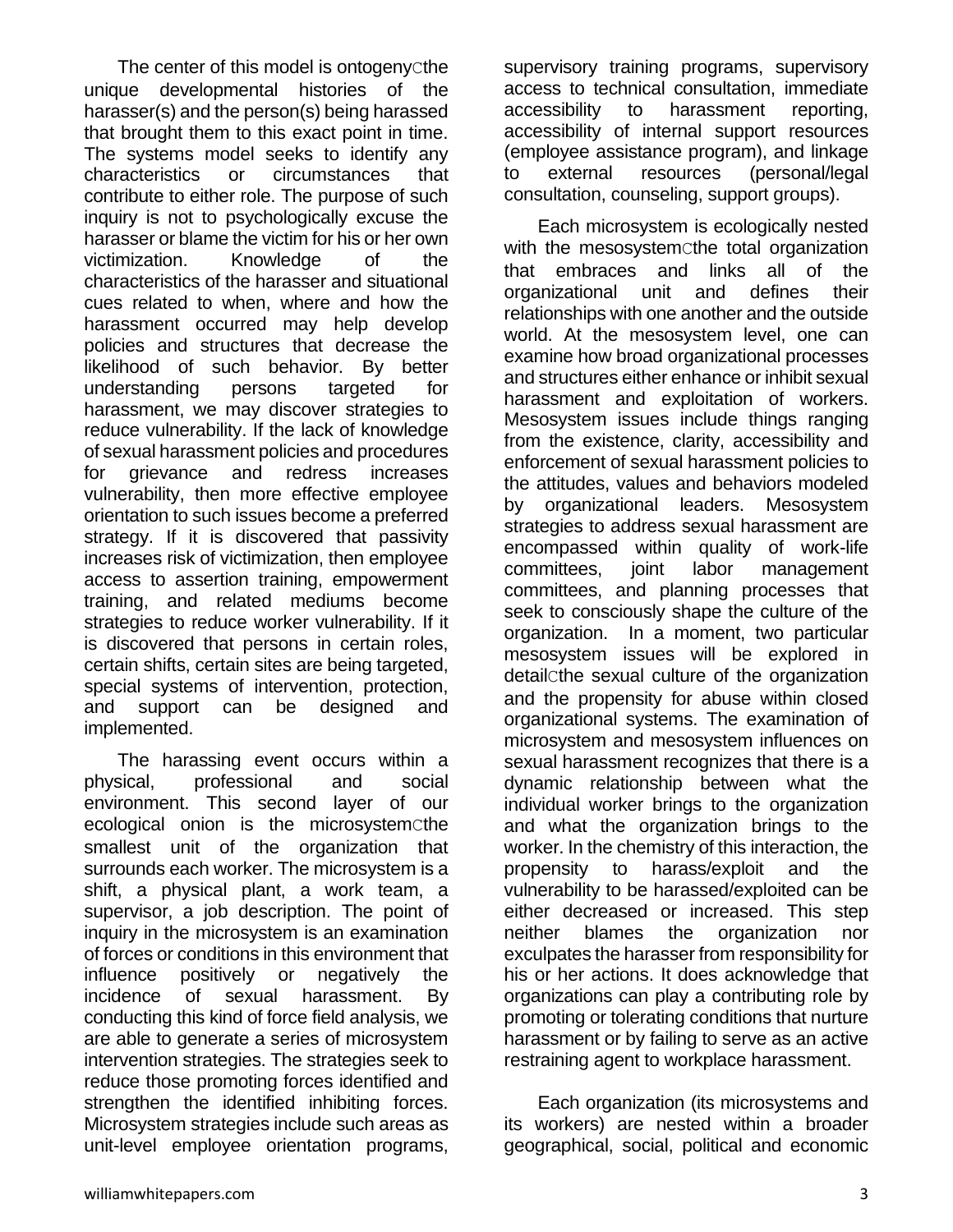The center of this model is ontogeny cthe unique developmental histories of the harasser(s) and the person(s) being harassed that brought them to this exact point in time. The systems model seeks to identify any characteristics or circumstances that contribute to either role. The purpose of such inquiry is not to psychologically excuse the harasser or blame the victim for his or her own victimization. Knowledge of the characteristics of the harasser and situational cues related to when, where and how the harassment occurred may help develop policies and structures that decrease the likelihood of such behavior. By better understanding persons targeted for harassment, we may discover strategies to reduce vulnerability. If the lack of knowledge of sexual harassment policies and procedures for grievance and redress increases vulnerability, then more effective employee orientation to such issues become a preferred strategy. If it is discovered that passivity increases risk of victimization, then employee access to assertion training, empowerment training, and related mediums become strategies to reduce worker vulnerability. If it is discovered that persons in certain roles, certain shifts, certain sites are being targeted, special systems of intervention, protection, and support can be designed and implemented.

The harassing event occurs within a physical, professional and social environment. This second layer of our ecological onion is the microsystemCthe smallest unit of the organization that surrounds each worker. The microsystem is a shift, a physical plant, a work team, a supervisor, a job description. The point of inquiry in the microsystem is an examination of forces or conditions in this environment that influence positively or negatively the incidence of sexual harassment. By conducting this kind of force field analysis, we are able to generate a series of microsystem intervention strategies. The strategies seek to reduce those promoting forces identified and strengthen the identified inhibiting forces. Microsystem strategies include such areas as unit-level employee orientation programs,

supervisory training programs, supervisory access to technical consultation, immediate accessibility to harassment reporting, accessibility of internal support resources (employee assistance program), and linkage to external resources (personal/legal consultation, counseling, support groups).

Each microsystem is ecologically nested with the mesosystemcthe total organization that embraces and links all of the organizational unit and defines their relationships with one another and the outside world. At the mesosystem level, one can examine how broad organizational processes and structures either enhance or inhibit sexual harassment and exploitation of workers. Mesosystem issues include things ranging from the existence, clarity, accessibility and enforcement of sexual harassment policies to the attitudes, values and behaviors modeled by organizational leaders. Mesosystem strategies to address sexual harassment are encompassed within quality of work-life committees, joint labor management committees, and planning processes that seek to consciously shape the culture of the organization. In a moment, two particular mesosystem issues will be explored in detailCthe sexual culture of the organization and the propensity for abuse within closed organizational systems. The examination of microsystem and mesosystem influences on sexual harassment recognizes that there is a dynamic relationship between what the individual worker brings to the organization and what the organization brings to the worker. In the chemistry of this interaction, the propensity to harass/exploit and the vulnerability to be harassed/exploited can be either decreased or increased. This step neither blames the organization nor exculpates the harasser from responsibility for his or her actions. It does acknowledge that organizations can play a contributing role by promoting or tolerating conditions that nurture harassment or by failing to serve as an active restraining agent to workplace harassment.

Each organization (its microsystems and its workers) are nested within a broader geographical, social, political and economic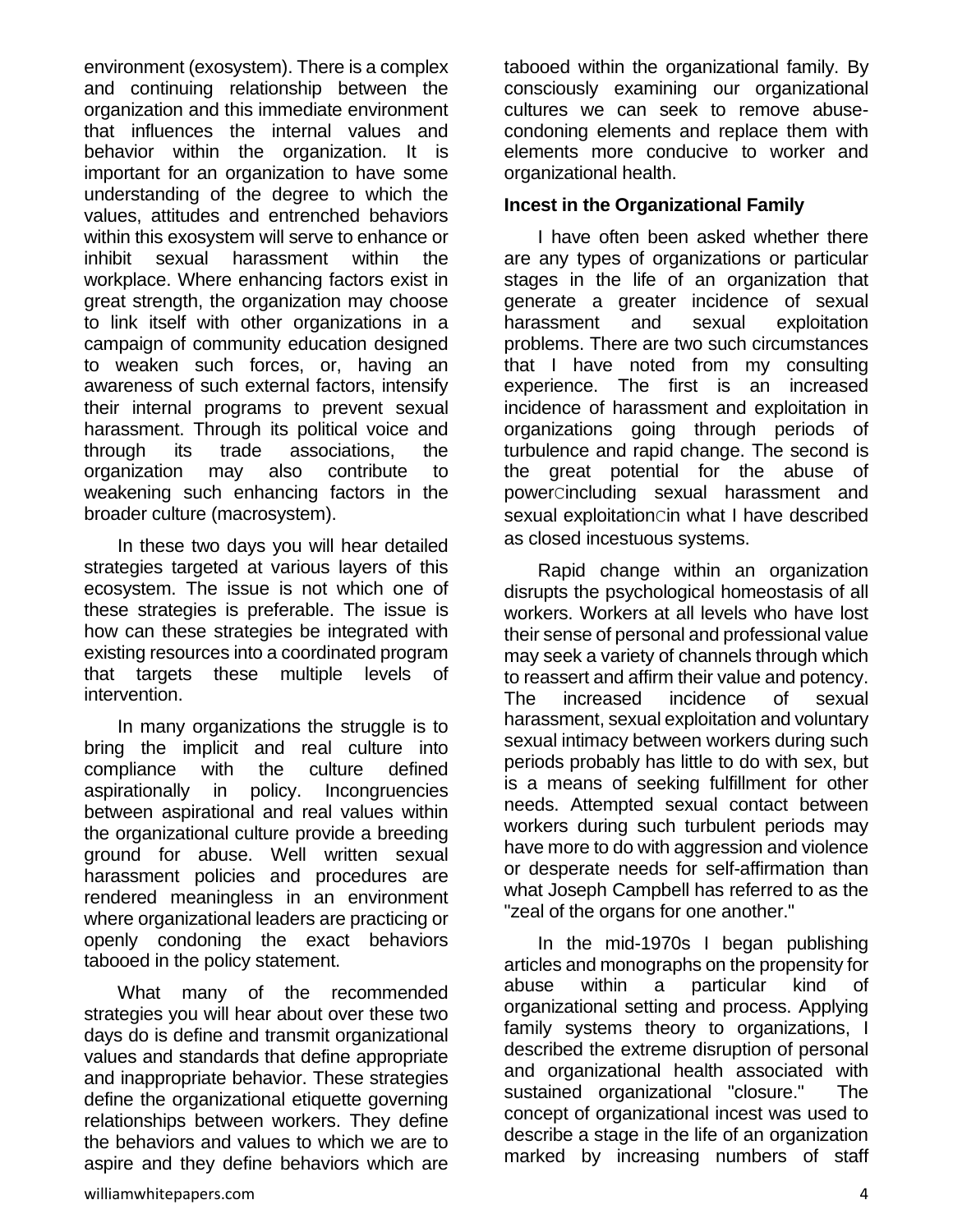environment (exosystem). There is a complex and continuing relationship between the organization and this immediate environment that influences the internal values and behavior within the organization. It is important for an organization to have some understanding of the degree to which the values, attitudes and entrenched behaviors within this exosystem will serve to enhance or inhibit sexual harassment within the workplace. Where enhancing factors exist in great strength, the organization may choose to link itself with other organizations in a campaign of community education designed to weaken such forces, or, having an awareness of such external factors, intensify their internal programs to prevent sexual harassment. Through its political voice and through its trade associations, the organization may also contribute to weakening such enhancing factors in the broader culture (macrosystem).

In these two days you will hear detailed strategies targeted at various layers of this ecosystem. The issue is not which one of these strategies is preferable. The issue is how can these strategies be integrated with existing resources into a coordinated program that targets these multiple levels of intervention.

In many organizations the struggle is to bring the implicit and real culture into compliance with the culture defined aspirationally in policy. Incongruencies between aspirational and real values within the organizational culture provide a breeding ground for abuse. Well written sexual harassment policies and procedures are rendered meaningless in an environment where organizational leaders are practicing or openly condoning the exact behaviors tabooed in the policy statement.

What many of the recommended strategies you will hear about over these two days do is define and transmit organizational values and standards that define appropriate and inappropriate behavior. These strategies define the organizational etiquette governing relationships between workers. They define the behaviors and values to which we are to aspire and they define behaviors which are

tabooed within the organizational family. By consciously examining our organizational cultures we can seek to remove abusecondoning elements and replace them with elements more conducive to worker and organizational health.

#### **Incest in the Organizational Family**

I have often been asked whether there are any types of organizations or particular stages in the life of an organization that generate a greater incidence of sexual harassment and sexual exploitation problems. There are two such circumstances that I have noted from my consulting experience. The first is an increased incidence of harassment and exploitation in organizations going through periods of turbulence and rapid change. The second is the great potential for the abuse of powerCincluding sexual harassment and sexual exploitation cin what I have described as closed incestuous systems.

Rapid change within an organization disrupts the psychological homeostasis of all workers. Workers at all levels who have lost their sense of personal and professional value may seek a variety of channels through which to reassert and affirm their value and potency. The increased incidence of sexual harassment, sexual exploitation and voluntary sexual intimacy between workers during such periods probably has little to do with sex, but is a means of seeking fulfillment for other needs. Attempted sexual contact between workers during such turbulent periods may have more to do with aggression and violence or desperate needs for self-affirmation than what Joseph Campbell has referred to as the "zeal of the organs for one another."

In the mid-1970s I began publishing articles and monographs on the propensity for abuse within a particular kind of organizational setting and process. Applying family systems theory to organizations, I described the extreme disruption of personal and organizational health associated with sustained organizational "closure." The concept of organizational incest was used to describe a stage in the life of an organization marked by increasing numbers of staff